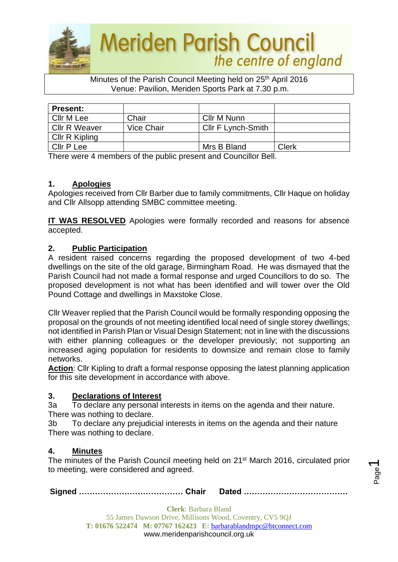

Minutes of the Parish Council Meeting held on 25<sup>th</sup> April 2016 Venue: Pavilion, Meriden Sports Park at 7.30 p.m.

| <b>Present:</b>      |            |                           |       |
|----------------------|------------|---------------------------|-------|
| Cllr M Lee           | Chair      | Cllr M Nunn               |       |
| <b>CIIr R Weaver</b> | Vice Chair | <b>CIIr F Lynch-Smith</b> |       |
| Cllr R Kipling       |            |                           |       |
| Cllr P Lee           |            | Mrs B Bland               | Clerk |

There were 4 members of the public present and Councillor Bell.

### **1. Apologies**

Apologies received from Cllr Barber due to family commitments, Cllr Haque on holiday and Cllr Allsopp attending SMBC committee meeting.

**IT WAS RESOLVED** Apologies were formally recorded and reasons for absence accepted.

### **2. Public Participation**

A resident raised concerns regarding the proposed development of two 4-bed dwellings on the site of the old garage, Birmingham Road. He was dismayed that the Parish Council had not made a formal response and urged Councillors to do so. The proposed development is not what has been identified and will tower over the Old Pound Cottage and dwellings in Maxstoke Close.

Cllr Weaver replied that the Parish Council would be formally responding opposing the proposal on the grounds of not meeting identified local need of single storey dwellings; not identified in Parish Plan or Visual Design Statement; not in line with the discussions with either planning colleagues or the developer previously; not supporting an increased aging population for residents to downsize and remain close to family networks.

**Action**: Cllr Kipling to draft a formal response opposing the latest planning application for this site development in accordance with above.

#### **3. Declarations of Interest**

3a To declare any personal interests in items on the agenda and their nature. There was nothing to declare.

3b To declare any prejudicial interests in items on the agenda and their nature There was nothing to declare.

#### **4. Minutes**

The minutes of the Parish Council meeting held on 21<sup>st</sup> March 2016, circulated prior to meeting, were considered and agreed.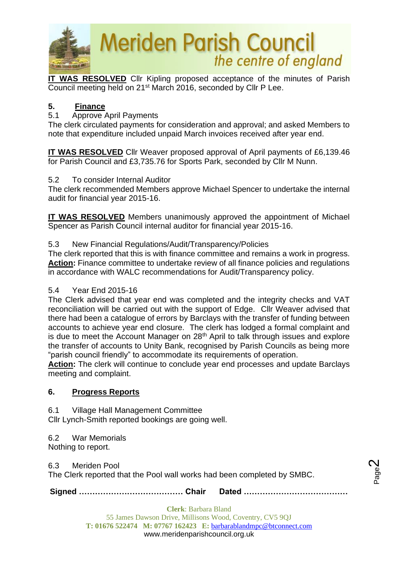

**IT WAS RESOLVED** Cllr Kipling proposed acceptance of the minutes of Parish Council meeting held on 21st March 2016, seconded by Cllr P Lee.

## **5. Finance**

## 5.1 Approve April Payments

The clerk circulated payments for consideration and approval; and asked Members to note that expenditure included unpaid March invoices received after year end.

**IT WAS RESOLVED** Cllr Weaver proposed approval of April payments of £6,139.46 for Parish Council and £3,735.76 for Sports Park, seconded by Cllr M Nunn.

### 5.2 To consider Internal Auditor

The clerk recommended Members approve Michael Spencer to undertake the internal audit for financial year 2015-16.

**IT WAS RESOLVED** Members unanimously approved the appointment of Michael Spencer as Parish Council internal auditor for financial year 2015-16.

### 5.3 New Financial Regulations/Audit/Transparency/Policies

The clerk reported that this is with finance committee and remains a work in progress. **Action:** Finance committee to undertake review of all finance policies and regulations in accordance with WALC recommendations for Audit/Transparency policy.

#### 5.4 Year End 2015-16

The Clerk advised that year end was completed and the integrity checks and VAT reconciliation will be carried out with the support of Edge. Cllr Weaver advised that there had been a catalogue of errors by Barclays with the transfer of funding between accounts to achieve year end closure. The clerk has lodged a formal complaint and is due to meet the Account Manager on  $28<sup>th</sup>$  April to talk through issues and explore the transfer of accounts to Unity Bank, recognised by Parish Councils as being more "parish council friendly" to accommodate its requirements of operation.

**Action:** The clerk will continue to conclude year end processes and update Barclays meeting and complaint.

## **6. Progress Reports**

6.1 Village Hall Management Committee

Cllr Lynch-Smith reported bookings are going well.

6.2 War Memorials

Nothing to report.

#### 6.3 Meriden Pool

The Clerk reported that the Pool wall works had been completed by SMBC.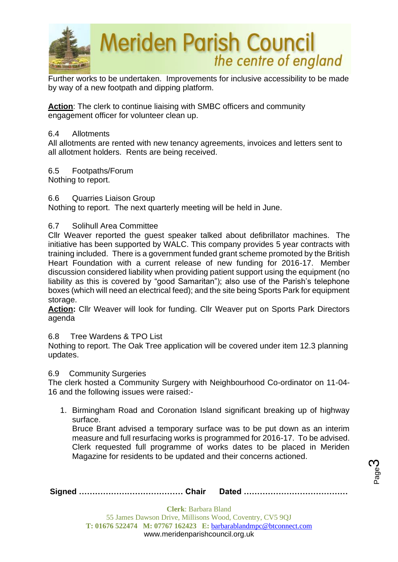

Further works to be undertaken. Improvements for inclusive accessibility to be made by way of a new footpath and dipping platform.

**Action**: The clerk to continue liaising with SMBC officers and community engagement officer for volunteer clean up.

#### 6.4 Allotments

All allotments are rented with new tenancy agreements, invoices and letters sent to all allotment holders. Rents are being received.

6.5 Footpaths/Forum

Nothing to report.

6.6 Quarries Liaison Group

Nothing to report. The next quarterly meeting will be held in June.

### 6.7 Solihull Area Committee

Cllr Weaver reported the guest speaker talked about defibrillator machines. The initiative has been supported by WALC. This company provides 5 year contracts with training included. There is a government funded grant scheme promoted by the British Heart Foundation with a current release of new funding for 2016-17. Member discussion considered liability when providing patient support using the equipment (no liability as this is covered by "good Samaritan"); also use of the Parish's telephone boxes (which will need an electrical feed); and the site being Sports Park for equipment storage.

**Action:** Cllr Weaver will look for funding. Cllr Weaver put on Sports Park Directors agenda

#### 6.8 Tree Wardens & TPO List

Nothing to report. The Oak Tree application will be covered under item 12.3 planning updates.

#### 6.9 Community Surgeries

The clerk hosted a Community Surgery with Neighbourhood Co-ordinator on 11-04- 16 and the following issues were raised:-

1. Birmingham Road and Coronation Island significant breaking up of highway surface.

Bruce Brant advised a temporary surface was to be put down as an interim measure and full resurfacing works is programmed for 2016-17. To be advised. Clerk requested full programme of works dates to be placed in Meriden Magazine for residents to be updated and their concerns actioned.

Page ო

|--|--|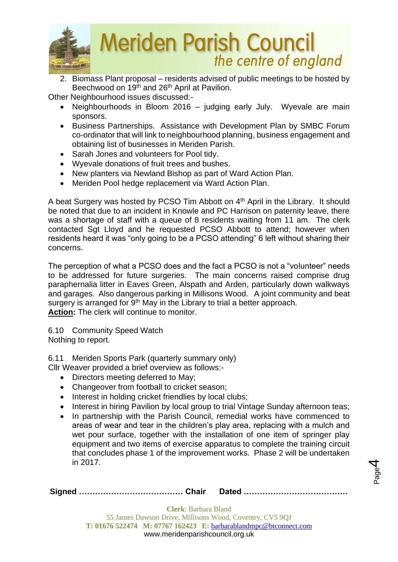

2. Biomass Plant proposal – residents advised of public meetings to be hosted by Beechwood on 19<sup>th</sup> and 26<sup>th</sup> April at Pavilion.

Other Neighbourhood issues discussed:-

- Neighbourhoods in Bloom 2016 judging early July. Wyevale are main sponsors.
- Business Partnerships. Assistance with Development Plan by SMBC Forum co-ordinator that will link to neighbourhood planning, business engagement and obtaining list of businesses in Meriden Parish.
- Sarah Jones and volunteers for Pool tidy.
- Wyevale donations of fruit trees and bushes.
- New planters via Newland Bishop as part of Ward Action Plan.
- Meriden Pool hedge replacement via Ward Action Plan.

A beat Surgery was hosted by PCSO Tim Abbott on 4<sup>th</sup> April in the Library. It should be noted that due to an incident in Knowle and PC Harrison on paternity leave, there was a shortage of staff with a queue of 8 residents waiting from 11 am. The clerk contacted Sgt Lloyd and he requested PCSO Abbott to attend; however when residents heard it was "only going to be a PCSO attending" 6 left without sharing their concerns.

The perception of what a PCSO does and the fact a PCSO is not a "volunteer" needs to be addressed for future surgeries. The main concerns raised comprise drug paraphernalia litter in Eaves Green, Alspath and Arden, particularly down walkways and garages. Also dangerous parking in Millisons Wood. A joint community and beat surgery is arranged for  $9<sup>th</sup>$  May in the Library to trial a better approach. **Action:** The clerk will continue to monitor.

6.10 Community Speed Watch Nothing to report.

6.11 Meriden Sports Park (quarterly summary only)

Cllr Weaver provided a brief overview as follows:-

- Directors meeting deferred to May;
- Changeover from football to cricket season;
- Interest in holding cricket friendlies by local clubs;
- Interest in hiring Pavilion by local group to trial Vintage Sunday afternoon teas;
- In partnership with the Parish Council, remedial works have commenced to areas of wear and tear in the children's play area, replacing with a mulch and wet pour surface, together with the installation of one item of springer play equipment and two items of exercise apparatus to complete the training circuit that concludes phase 1 of the improvement works. Phase 2 will be undertaken in 2017.

Page 4

|--|--|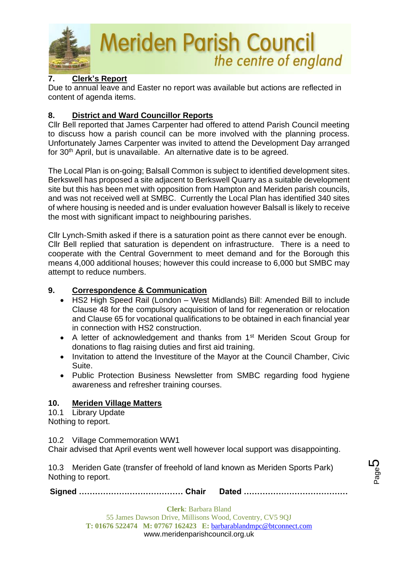

## **7. Clerk's Report**

Due to annual leave and Easter no report was available but actions are reflected in content of agenda items.

## **8. District and Ward Councillor Reports**

Cllr Bell reported that James Carpenter had offered to attend Parish Council meeting to discuss how a parish council can be more involved with the planning process. Unfortunately James Carpenter was invited to attend the Development Day arranged for 30<sup>th</sup> April, but is unavailable. An alternative date is to be agreed.

The Local Plan is on-going; Balsall Common is subject to identified development sites. Berkswell has proposed a site adjacent to Berkswell Quarry as a suitable development site but this has been met with opposition from Hampton and Meriden parish councils, and was not received well at SMBC. Currently the Local Plan has identified 340 sites of where housing is needed and is under evaluation however Balsall is likely to receive the most with significant impact to neighbouring parishes.

Cllr Lynch-Smith asked if there is a saturation point as there cannot ever be enough. Cllr Bell replied that saturation is dependent on infrastructure. There is a need to cooperate with the Central Government to meet demand and for the Borough this means 4,000 additional houses; however this could increase to 6,000 but SMBC may attempt to reduce numbers.

## **9. Correspondence & Communication**

- HS2 High Speed Rail (London West Midlands) Bill: Amended Bill to include Clause 48 for the compulsory acquisition of land for regeneration or relocation and Clause 65 for vocational qualifications to be obtained in each financial year in connection with HS2 construction.
- A letter of acknowledgement and thanks from 1<sup>st</sup> Meriden Scout Group for donations to flag raising duties and first aid training.
- Invitation to attend the Investiture of the Mayor at the Council Chamber, Civic Suite.
- Public Protection Business Newsletter from SMBC regarding food hygiene awareness and refresher training courses.

## **10. Meriden Village Matters**

10.1 Library Update Nothing to report.

10.2 Village Commemoration WW1

Chair advised that April events went well however local support was disappointing.

10.3 Meriden Gate (transfer of freehold of land known as Meriden Sports Park) Nothing to report.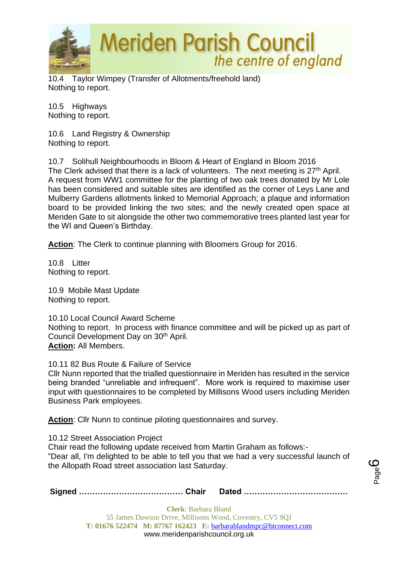

10.4 Taylor Wimpey (Transfer of Allotments/freehold land) Nothing to report.

10.5 Highways Nothing to report.

10.6 Land Registry & Ownership Nothing to report.

10.7 Solihull Neighbourhoods in Bloom & Heart of England in Bloom 2016 The Clerk advised that there is a lack of volunteers. The next meeting is  $27<sup>th</sup>$  April. A request from WW1 committee for the planting of two oak trees donated by Mr Lole has been considered and suitable sites are identified as the corner of Leys Lane and Mulberry Gardens allotments linked to Memorial Approach; a plaque and information board to be provided linking the two sites; and the newly created open space at Meriden Gate to sit alongside the other two commemorative trees planted last year for the WI and Queen's Birthday.

**Action**: The Clerk to continue planning with Bloomers Group for 2016.

10.8 Litter Nothing to report.

10.9 Mobile Mast Update Nothing to report.

10.10 Local Council Award Scheme Nothing to report. In process with finance committee and will be picked up as part of Council Development Day on 30<sup>th</sup> April. **Action:** All Members.

10.11 82 Bus Route & Failure of Service

Cllr Nunn reported that the trialled questionnaire in Meriden has resulted in the service being branded "unreliable and infrequent". More work is required to maximise user input with questionnaires to be completed by Millisons Wood users including Meriden Business Park employees.

**Action**: Cllr Nunn to continue piloting questionnaires and survey.

10.12 Street Association Project

Chair read the following update received from Martin Graham as follows:- "Dear all, I'm delighted to be able to tell you that we had a very successful launch of the Allopath Road street association last Saturday.

|--|--|--|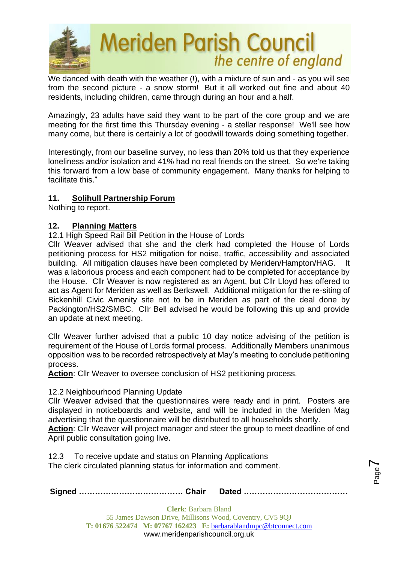

We danced with death with the weather (!), with a mixture of sun and - as you will see from the second picture - a snow storm! But it all worked out fine and about 40 residents, including children, came through during an hour and a half.

Amazingly, 23 adults have said they want to be part of the core group and we are meeting for the first time this Thursday evening - a stellar response! We'll see how many come, but there is certainly a lot of goodwill towards doing something together.

Interestingly, from our baseline survey, no less than 20% told us that they experience loneliness and/or isolation and 41% had no real friends on the street. So we're taking this forward from a low base of community engagement. Many thanks for helping to facilitate this."

### **11. Solihull Partnership Forum**

Nothing to report.

### **12. Planning Matters**

12.1 High Speed Rail Bill Petition in the House of Lords

Cllr Weaver advised that she and the clerk had completed the House of Lords petitioning process for HS2 mitigation for noise, traffic, accessibility and associated building. All mitigation clauses have been completed by Meriden/Hampton/HAG. It was a laborious process and each component had to be completed for acceptance by the House. Cllr Weaver is now registered as an Agent, but Cllr Lloyd has offered to act as Agent for Meriden as well as Berkswell. Additional mitigation for the re-siting of Bickenhill Civic Amenity site not to be in Meriden as part of the deal done by Packington/HS2/SMBC. Cllr Bell advised he would be following this up and provide an update at next meeting.

Cllr Weaver further advised that a public 10 day notice advising of the petition is requirement of the House of Lords formal process. Additionally Members unanimous opposition was to be recorded retrospectively at May's meeting to conclude petitioning process.

**Action**: Cllr Weaver to oversee conclusion of HS2 petitioning process.

#### 12.2 Neighbourhood Planning Update

Cllr Weaver advised that the questionnaires were ready and in print. Posters are displayed in noticeboards and website, and will be included in the Meriden Mag advertising that the questionnaire will be distributed to all households shortly. **Action**: Cllr Weaver will project manager and steer the group to meet deadline of end

April public consultation going live.

12.3 To receive update and status on Planning Applications The clerk circulated planning status for information and comment.

|--|--|

Page  $\blacktriangleright$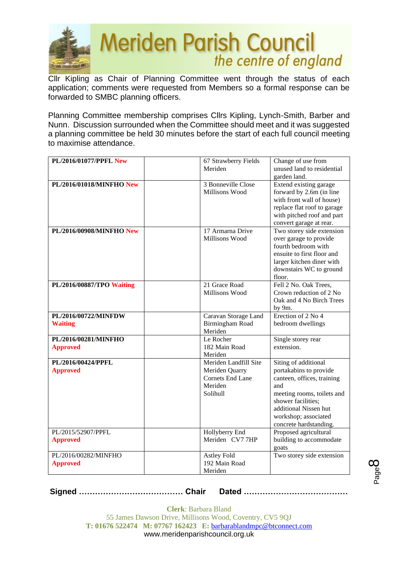

Cllr Kipling as Chair of Planning Committee went through the status of each application; comments were requested from Members so a formal response can be forwarded to SMBC planning officers.

Planning Committee membership comprises Cllrs Kipling, Lynch-Smith, Barber and Nunn. Discussion surrounded when the Committee should meet and it was suggested a planning committee be held 30 minutes before the start of each full council meeting to maximise attendance.

| PL/2016/01077/PPFL New                  | 67 Strawberry Fields<br>Meriden                                                           | Change of use from<br>unused land to residential                                                                                                                                                                   |
|-----------------------------------------|-------------------------------------------------------------------------------------------|--------------------------------------------------------------------------------------------------------------------------------------------------------------------------------------------------------------------|
| PL/2016/01018/MINFHO New                | 3 Bonneville Close<br>Millisons Wood                                                      | garden land.<br>Extend existing garage<br>forward by 2.6m (in line<br>with front wall of house)<br>replace flat roof to garage<br>with pitched roof and part<br>convert garage at rear.                            |
| PL/2016/00908/MINFHO New                | 17 Armarna Drive<br>Millisons Wood                                                        | Two storey side extension<br>over garage to provide<br>fourth bedroom with<br>ensuite to first floor and<br>larger kitchen diner with<br>downstairs WC to ground<br>floor.                                         |
| PL/2016/00887/TPO Waiting               | 21 Grace Road<br>Millisons Wood                                                           | Fell 2 No. Oak Trees,<br>Crown reduction of 2 No<br>Oak and 4 No Birch Trees<br>by 9m.                                                                                                                             |
| PL/2016/00722/MINFDW<br><b>Waiting</b>  | Caravan Storage Land<br>Birmingham Road<br>Meriden                                        | Erection of 2 No 4<br>bedroom dwellings                                                                                                                                                                            |
| PL/2016/00281/MINFHO<br><b>Approved</b> | Le Rocher<br>182 Main Road<br>Meriden                                                     | Single storey rear<br>extension.                                                                                                                                                                                   |
| PL/2016/00424/PPFL<br><b>Approved</b>   | Meriden Landfill Site<br>Meriden Quarry<br><b>Cornets End Lane</b><br>Meriden<br>Solihull | Siting of additional<br>portakabins to provide<br>canteen, offices, training<br>and<br>meeting rooms, toilets and<br>shower facilities:<br>additional Nissen hut<br>workshop; associated<br>concrete hardstanding. |
| PL/2015/52907/PPFL<br><b>Approved</b>   | Hollyberry End<br>Meriden CV7 7HP                                                         | Proposed agricultural<br>building to accommodate<br>goats                                                                                                                                                          |
| PL/2016/00282/MINFHO<br><b>Approved</b> | Astley Fold<br>192 Main Road<br>Meriden                                                   | Two storey side extension                                                                                                                                                                                          |

**Signed ………………………………… Chair Dated …………………………………**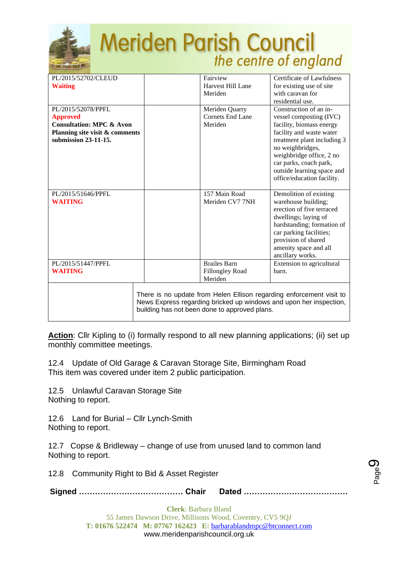

| PL/2015/52702/CLEUD<br><b>Waiting</b>                                                                                                  | Fairview<br>Harvest Hill Lane<br>Meriden                 | Certificate of Lawfulness<br>for existing use of site<br>with caravan for<br>residential use.                                                                                                                                                                                  |
|----------------------------------------------------------------------------------------------------------------------------------------|----------------------------------------------------------|--------------------------------------------------------------------------------------------------------------------------------------------------------------------------------------------------------------------------------------------------------------------------------|
| PL/2015/52078/PPFL<br><b>Approved</b><br><b>Consultation: MPC &amp; Avon</b><br>Planning site visit & comments<br>submission 23-11-15. | Meriden Quarry<br><b>Cornets End Lane</b><br>Meriden     | Construction of an in-<br>vessel composting (IVC)<br>facility, biomass energy<br>facility and waste water<br>treatment plant including 3<br>no weighbridges,<br>weighbridge office, 2 no<br>car parks, coach park,<br>outside learning space and<br>office/education facility. |
| PL/2015/51646/PPFL<br><b>WAITING</b>                                                                                                   | 157 Main Road<br>Meriden CV7 7NH                         | Demolition of existing<br>warehouse building;<br>erection of five terraced<br>dwellings; laying of<br>hardstanding; formation of<br>car parking facilities;<br>provision of shared<br>amenity space and all<br>ancillary works.                                                |
| PL/2015/51447/PPFL<br><b>WAITING</b>                                                                                                   | <b>Brailes Barn</b><br><b>Fillongley Road</b><br>Meriden | Extension to agricultural<br>barn.                                                                                                                                                                                                                                             |
|                                                                                                                                        | building has not been done to approved plans.            | There is no update from Helen Ellison regarding enforcement visit to<br>News Express regarding bricked up windows and upon her inspection,                                                                                                                                     |

**Action**: Cllr Kipling to (i) formally respond to all new planning applications; (ii) set up monthly committee meetings.

12.4 Update of Old Garage & Caravan Storage Site, Birmingham Road This item was covered under item 2 public participation.

12.5 Unlawful Caravan Storage Site Nothing to report.

12.6 Land for Burial – Cllr Lynch-Smith Nothing to report.

12.7 Copse & Bridleway – change of use from unused land to common land Nothing to report.

12.8 Community Right to Bid & Asset Register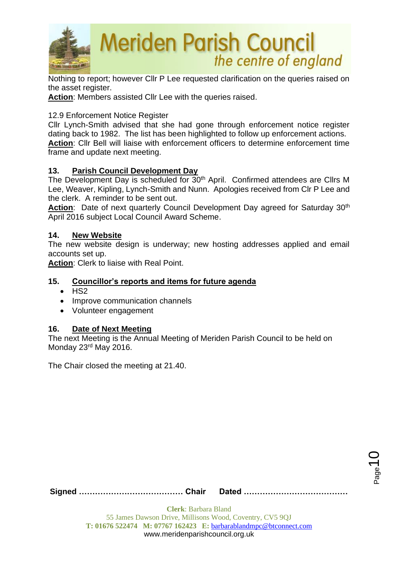

Nothing to report; however Cllr P Lee requested clarification on the queries raised on the asset register.

**Action**: Members assisted Cllr Lee with the queries raised.

### 12.9 Enforcement Notice Register

Cllr Lynch-Smith advised that she had gone through enforcement notice register dating back to 1982. The list has been highlighted to follow up enforcement actions. **Action**: Cllr Bell will liaise with enforcement officers to determine enforcement time frame and update next meeting.

### **13. Parish Council Development Day**

The Development Day is scheduled for 30<sup>th</sup> April. Confirmed attendees are Cllrs M Lee, Weaver, Kipling, Lynch-Smith and Nunn. Apologies received from Clr P Lee and the clerk. A reminder to be sent out.

Action: Date of next quarterly Council Development Day agreed for Saturday 30<sup>th</sup> April 2016 subject Local Council Award Scheme.

#### **14. New Website**

The new website design is underway; new hosting addresses applied and email accounts set up.

**Action**: Clerk to liaise with Real Point.

## **15. Councillor's reports and items for future agenda**

- $\bullet$  HS<sub>2</sub>
- Improve communication channels
- Volunteer engagement

#### **16. Date of Next Meeting**

The next Meeting is the Annual Meeting of Meriden Parish Council to be held on Monday 23rd May 2016.

The Chair closed the meeting at 21.40.

**Signed ………………………………… Chair Dated …………………………………**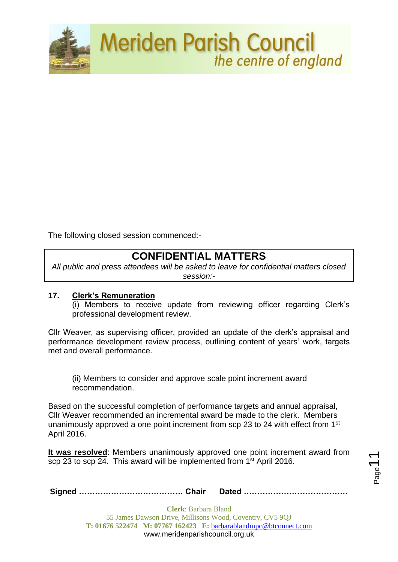

The following closed session commenced:-

## **CONFIDENTIAL MATTERS**

*All public and press attendees will be asked to leave for confidential matters closed session:-*

#### **17. Clerk's Remuneration**

(i) Members to receive update from reviewing officer regarding Clerk's professional development review.

Cllr Weaver, as supervising officer, provided an update of the clerk's appraisal and performance development review process, outlining content of years' work, targets met and overall performance.

(ii) Members to consider and approve scale point increment award recommendation.

Based on the successful completion of performance targets and annual appraisal, Cllr Weaver recommended an incremental award be made to the clerk. Members unanimously approved a one point increment from scp 23 to 24 with effect from 1<sup>st</sup> April 2016.

**It was resolved**: Members unanimously approved one point increment award from scp 23 to scp 24. This award will be implemented from 1<sup>st</sup> April 2016.

Page

**Signed ………………………………… Chair Dated …………………………………**